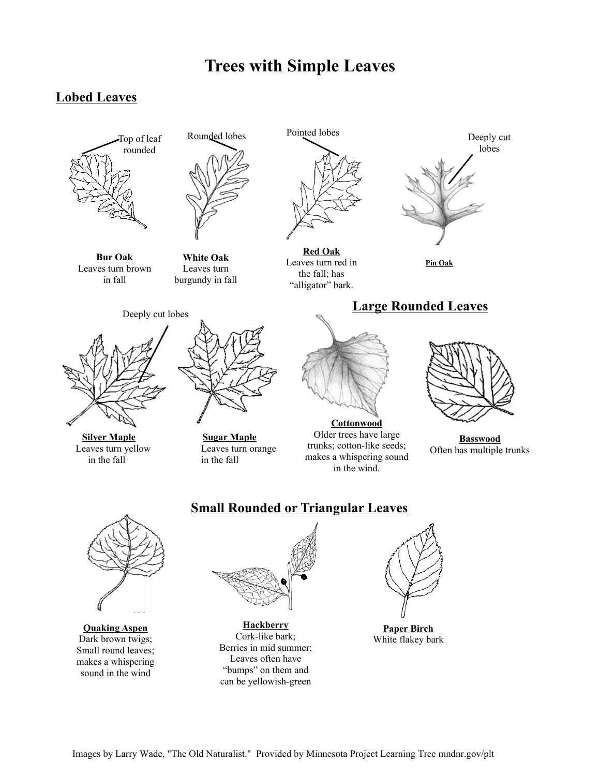# **Trees with Simple Leaves**

# **Lobed Leaves**



 Leaves turn brown **Bur Oak**  in fall



**White Oak**  Leaves turn burgundy in fall



**Silver Maple**  Leaves turn yellow in the fall



**Sugar Maple**  Leaves turn orange in the fall



**Red Oak**  Leaves turn red in the fall; has "alligator" bark.



**Pin Oak** 

**Large Rounded Leaves** 



 Older trees have large **Cottonwood**  trunks; cotton-like seeds; makes a whispering sound in the wind.

**Basswood**  Often has multiple trunks



 makes a whispering Dark brown twigs; Small round leaves; sound in the wind

## **Small Rounded or Triangular Leaves**



**Quaking Aspen Hackberry** Cork-like bark; Berries in mid summer; Leaves often have "bumps" on them and can be yellowish-green



**Paper Birch**  White flakey bark